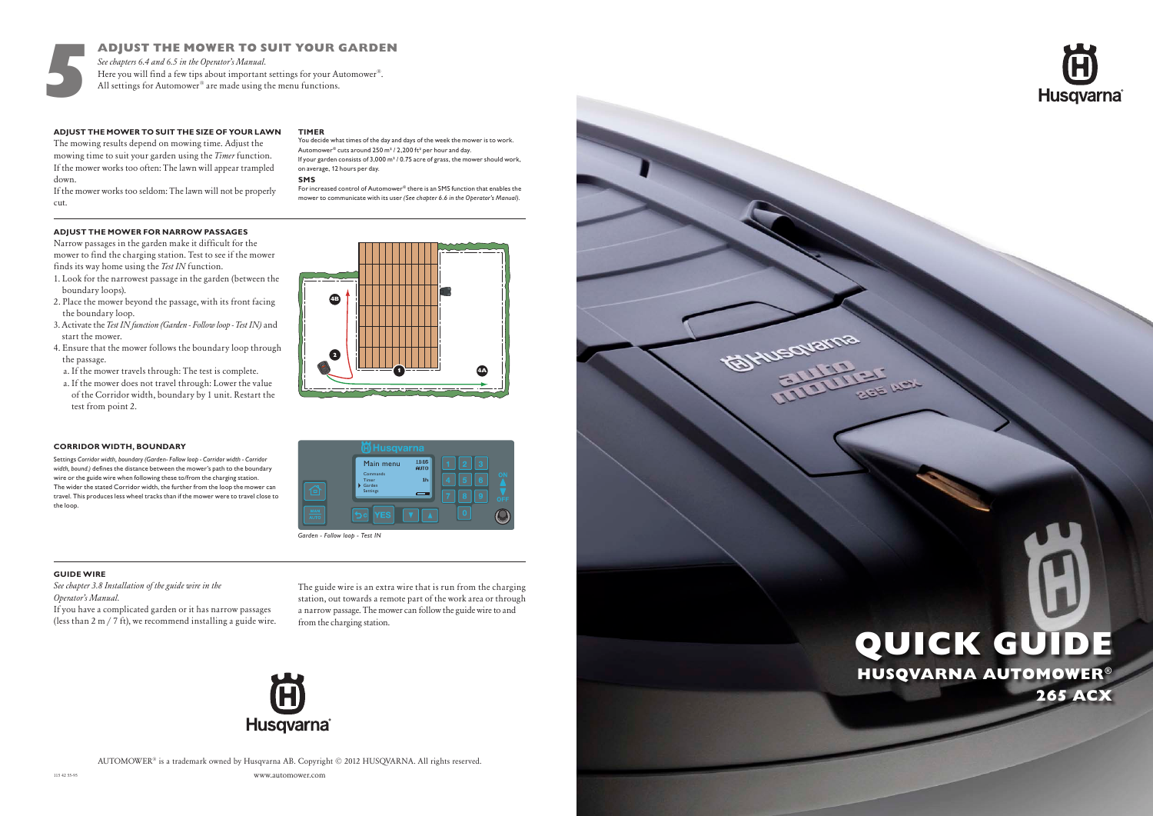

AUTOMOWER® is a trademark owned by Husqvarna AB. Copyright © 2012 HUSQVARNA. All rights reserved.

# HUSQVARNA AUTOMOWER® 265 ACX QUICK GUIDE







5



 $1 - 4$ 

1 <del>1 4</del>A

## **ADJUST THE MOWER TO SUIT THE SIZE OF YOUR LAWN**

The mowing results depend on mowing time. Adjust the mowing time to suit your garden using the *Timer* function. If the mower works too often: The lawn will appear trampled down.

If the mower works too seldom: The lawn will not be properly cut.

### **TIMER**

## **ADJUST THE MOWER FOR NARROW PASSAGES**

Narrow passages in the garden make it difficult for the mower to find the charging station. Test to see if the mower finds its way home using the *Test IN* function.

- 1. Look for the narrowest passage in the garden (between the boundary loops).
- 2. Place the mower beyond the passage, with its front facing the boundary loop.
- 3. Activate the *Test IN function (Garden Follow loop Test IN)* and start the mower.
- 4. Ensure that the mower follows the boundary loop through the passage.
- a. If the mower travels through: The test is complete.
- a. If the mower does not travel through: Lower the value of the Corridor width, boundary by 1 unit. Restart the test from point 2.

4b 4B

 $\bullet$ 

## **GUIDE WIRE**

*See chapter 3.8 Installation of the guide wire in the Operator's Manual.*

For increased control of Automower® there is an SMS function that enables the mower to communicate with its user *(See chapter 6.6 in the Operator's Manual).*

If you have a complicated garden or it has narrow passages (less than 2 m / 7 ft), we recommend installing a guide wire. The guide wire is an extra wire that is run from the charging station, out towards a remote part of the work area or through a narrow passage. The mower can follow the guide wire to and from the charging station.



## ADJUST THE MOWER TO SUIT YOUR GARDEN

*See chapters 6.4 and 6.5 in the Operator's Manual.* Here you will find a few tips about important settings for your Automower®. All settings for Automower® are made using the menu functions.

> You decide what times of the day and days of the week the mower is to work. Automower® cuts around 250 m² / 2,200 ft² per hour and day. If your garden consists of 3,000 m<sup>2</sup> / 0.75 acre of grass, the mower should work, on average, 12 hours per day.

## **CORRIDOR WIDTH, BOUNDARY**

Settings *Corridor width, boundary (Garden- Follow loop - Corridor width - Corridor width, bound.)* defines the distance between the mower's path to the boundary wire or the guide wire when following these to/from the charging station. The wider the stated Corridor width, the further from the loop the mower can travel. This produces less wheel tracks than if the mower were to travel close to the loop.

### **SMS**